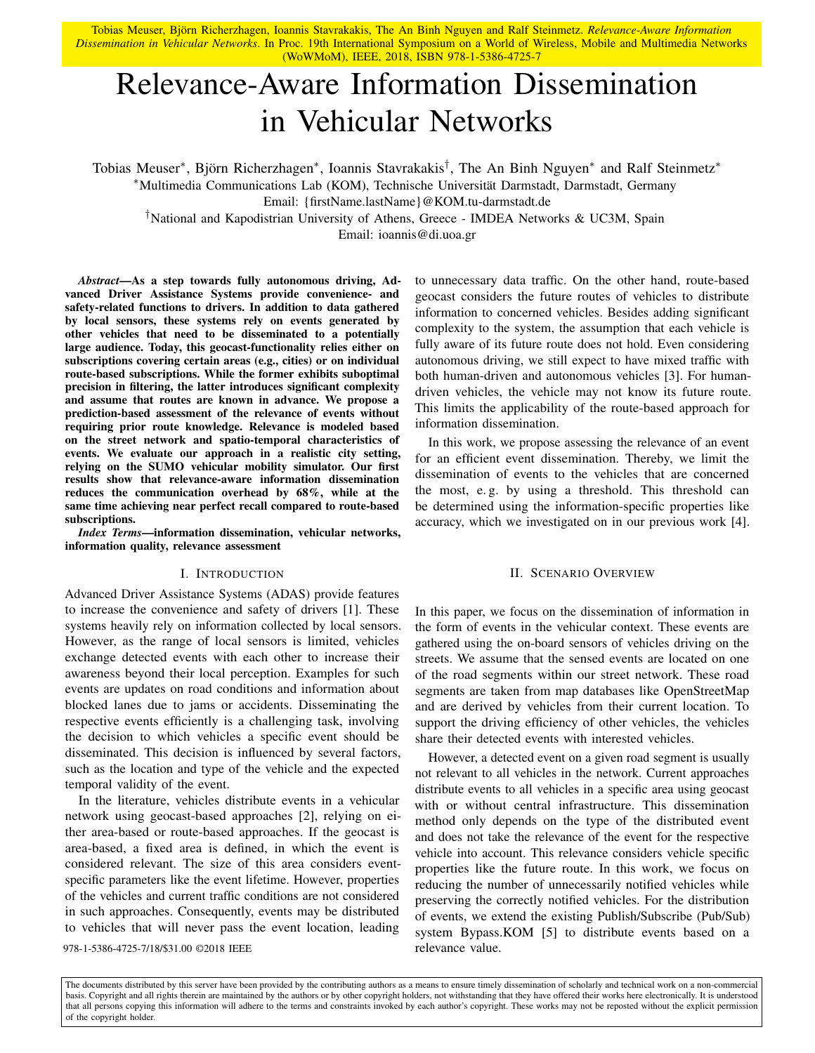Tobias Meuser, Björn Richerzhagen, Ioannis Stavrakakis, The An Binh Nguyen and Ralf Steinmetz. *Relevance-Aware Information Dissemination in Vehicular Networks*. In Proc. 19th International Symposium on a World of Wireless, Mobile and Multimedia Networks (WoWMoM), IEEE, 2018, ISBN 978-1-5386-4725-7

# Relevance-Aware Information Dissemination in Vehicular Networks

Tobias Meuser<sup>\*</sup>, Björn Richerzhagen<sup>\*</sup>, Ioannis Stavrakakis<sup>†</sup>, The An Binh Nguyen<sup>\*</sup> and Ralf Steinmetz<sup>\*</sup> <sup>∗</sup>Multimedia Communications Lab (KOM), Technische Universität Darmstadt, Darmstadt, Germany Email: {firstName.lastName}@KOM.tu-darmstadt.de

†National and Kapodistrian University of Athens, Greece - IMDEA Networks & UC3M, Spain

Email: ioannis@di.uoa.gr

*Abstract*—As a step towards fully autonomous driving, Advanced Driver Assistance Systems provide convenience- and safety-related functions to drivers. In addition to data gathered by local sensors, these systems rely on events generated by other vehicles that need to be disseminated to a potentially large audience. Today, this geocast-functionality relies either on subscriptions covering certain areas (e.g., cities) or on individual route-based subscriptions. While the former exhibits suboptimal precision in filtering, the latter introduces significant complexity and assume that routes are known in advance. We propose a prediction-based assessment of the relevance of events without requiring prior route knowledge. Relevance is modeled based on the street network and spatio-temporal characteristics of events. We evaluate our approach in a realistic city setting, relying on the SUMO vehicular mobility simulator. Our first results show that relevance-aware information dissemination reduces the communication overhead by 68%, while at the same time achieving near perfect recall compared to route-based subscriptions.

*Index Terms*—information dissemination, vehicular networks, information quality, relevance assessment

## I. INTRODUCTION

Advanced Driver Assistance Systems (ADAS) provide features to increase the convenience and safety of drivers [1]. These systems heavily rely on information collected by local sensors. However, as the range of local sensors is limited, vehicles exchange detected events with each other to increase their awareness beyond their local perception. Examples for such events are updates on road conditions and information about blocked lanes due to jams or accidents. Disseminating the respective events efficiently is a challenging task, involving the decision to which vehicles a specific event should be disseminated. This decision is influenced by several factors, such as the location and type of the vehicle and the expected temporal validity of the event.

In the literature, vehicles distribute events in a vehicular network using geocast-based approaches [2], relying on either area-based or route-based approaches. If the geocast is area-based, a fixed area is defined, in which the event is considered relevant. The size of this area considers eventspecific parameters like the event lifetime. However, properties of the vehicles and current traffic conditions are not considered in such approaches. Consequently, events may be distributed to vehicles that will never pass the event location, leading

978-1-5386-4725-7/18/\$31.00 ©2018 IEEE relevance value.

to unnecessary data traffic. On the other hand, route-based geocast considers the future routes of vehicles to distribute information to concerned vehicles. Besides adding significant complexity to the system, the assumption that each vehicle is fully aware of its future route does not hold. Even considering autonomous driving, we still expect to have mixed traffic with both human-driven and autonomous vehicles [3]. For humandriven vehicles, the vehicle may not know its future route. This limits the applicability of the route-based approach for information dissemination.

In this work, we propose assessing the relevance of an event for an efficient event dissemination. Thereby, we limit the dissemination of events to the vehicles that are concerned the most, e. g. by using a threshold. This threshold can be determined using the information-specific properties like accuracy, which we investigated on in our previous work [4].

## II. SCENARIO OVERVIEW

In this paper, we focus on the dissemination of information in the form of events in the vehicular context. These events are gathered using the on-board sensors of vehicles driving on the streets. We assume that the sensed events are located on one of the road segments within our street network. These road segments are taken from map databases like OpenStreetMap and are derived by vehicles from their current location. To support the driving efficiency of other vehicles, the vehicles share their detected events with interested vehicles.

However, a detected event on a given road segment is usually not relevant to all vehicles in the network. Current approaches distribute events to all vehicles in a specific area using geocast with or without central infrastructure. This dissemination method only depends on the type of the distributed event and does not take the relevance of the event for the respective vehicle into account. This relevance considers vehicle specific properties like the future route. In this work, we focus on reducing the number of unnecessarily notified vehicles while preserving the correctly notified vehicles. For the distribution of events, we extend the existing Publish/Subscribe (Pub/Sub) system Bypass.KOM [5] to distribute events based on a

The documents distributed by this server have been provided by the contributing authors as a means to ensure timely dissemination of scholarly and technical work on a non-commercial basis. Copyright and all rights therein are maintained by the authors or by other copyright holders, not withstanding that they have offered their works here electronically. It is understood that all persons copying this information will adhere to the terms and constraints invoked by each author's copyright. These works may not be reposted without the explicit permission of the copyright holder.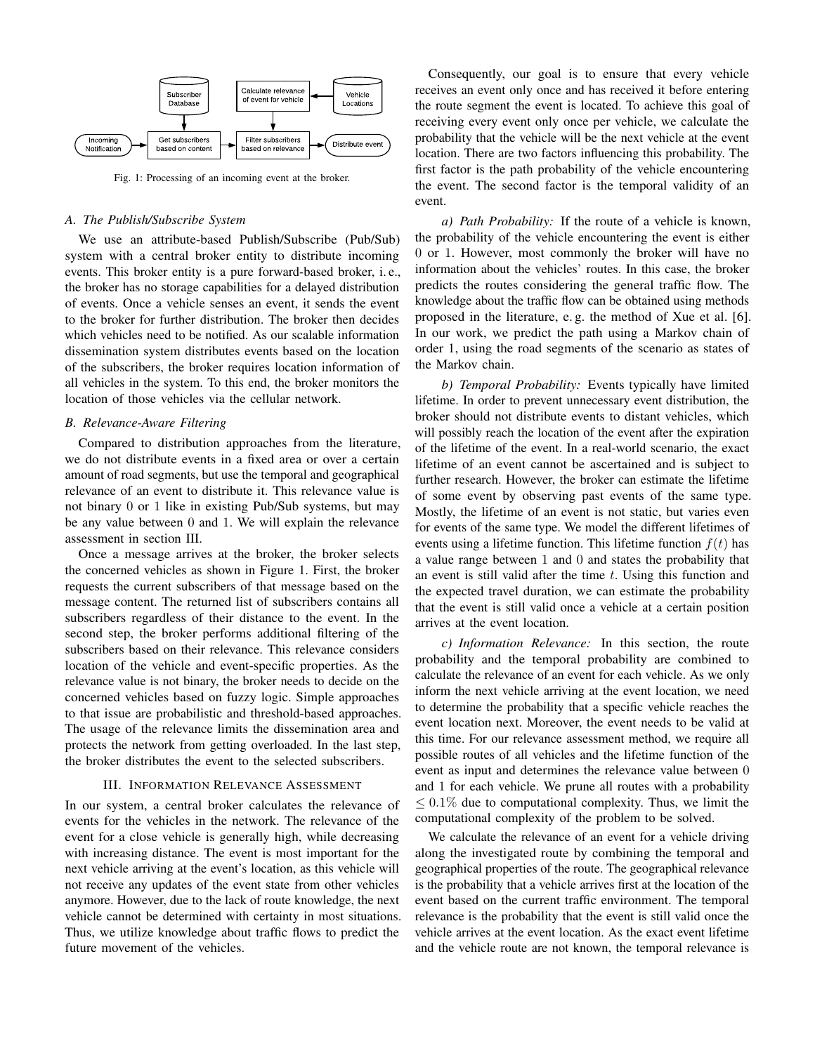

Fig. 1: Processing of an incoming event at the broker.

#### *A. The Publish/Subscribe System*

We use an attribute-based Publish/Subscribe (Pub/Sub) system with a central broker entity to distribute incoming events. This broker entity is a pure forward-based broker, i. e., the broker has no storage capabilities for a delayed distribution of events. Once a vehicle senses an event, it sends the event to the broker for further distribution. The broker then decides which vehicles need to be notified. As our scalable information dissemination system distributes events based on the location of the subscribers, the broker requires location information of all vehicles in the system. To this end, the broker monitors the location of those vehicles via the cellular network.

#### *B. Relevance-Aware Filtering*

Compared to distribution approaches from the literature, we do not distribute events in a fixed area or over a certain amount of road segments, but use the temporal and geographical relevance of an event to distribute it. This relevance value is not binary 0 or 1 like in existing Pub/Sub systems, but may be any value between 0 and 1. We will explain the relevance assessment in section III.

Once a message arrives at the broker, the broker selects the concerned vehicles as shown in Figure 1. First, the broker requests the current subscribers of that message based on the message content. The returned list of subscribers contains all subscribers regardless of their distance to the event. In the second step, the broker performs additional filtering of the subscribers based on their relevance. This relevance considers location of the vehicle and event-specific properties. As the relevance value is not binary, the broker needs to decide on the concerned vehicles based on fuzzy logic. Simple approaches to that issue are probabilistic and threshold-based approaches. The usage of the relevance limits the dissemination area and protects the network from getting overloaded. In the last step, the broker distributes the event to the selected subscribers.

#### III. INFORMATION RELEVANCE ASSESSMENT

In our system, a central broker calculates the relevance of events for the vehicles in the network. The relevance of the event for a close vehicle is generally high, while decreasing with increasing distance. The event is most important for the next vehicle arriving at the event's location, as this vehicle will not receive any updates of the event state from other vehicles anymore. However, due to the lack of route knowledge, the next vehicle cannot be determined with certainty in most situations. Thus, we utilize knowledge about traffic flows to predict the future movement of the vehicles.

Consequently, our goal is to ensure that every vehicle receives an event only once and has received it before entering the route segment the event is located. To achieve this goal of receiving every event only once per vehicle, we calculate the probability that the vehicle will be the next vehicle at the event location. There are two factors influencing this probability. The first factor is the path probability of the vehicle encountering the event. The second factor is the temporal validity of an event.

*a) Path Probability:* If the route of a vehicle is known, the probability of the vehicle encountering the event is either 0 or 1. However, most commonly the broker will have no information about the vehicles' routes. In this case, the broker predicts the routes considering the general traffic flow. The knowledge about the traffic flow can be obtained using methods proposed in the literature, e. g. the method of Xue et al. [6]. In our work, we predict the path using a Markov chain of order 1, using the road segments of the scenario as states of the Markov chain.

*b) Temporal Probability:* Events typically have limited lifetime. In order to prevent unnecessary event distribution, the broker should not distribute events to distant vehicles, which will possibly reach the location of the event after the expiration of the lifetime of the event. In a real-world scenario, the exact lifetime of an event cannot be ascertained and is subject to further research. However, the broker can estimate the lifetime of some event by observing past events of the same type. Mostly, the lifetime of an event is not static, but varies even for events of the same type. We model the different lifetimes of events using a lifetime function. This lifetime function  $f(t)$  has a value range between 1 and 0 and states the probability that an event is still valid after the time  $t$ . Using this function and the expected travel duration, we can estimate the probability that the event is still valid once a vehicle at a certain position arrives at the event location.

*c) Information Relevance:* In this section, the route probability and the temporal probability are combined to calculate the relevance of an event for each vehicle. As we only inform the next vehicle arriving at the event location, we need to determine the probability that a specific vehicle reaches the event location next. Moreover, the event needs to be valid at this time. For our relevance assessment method, we require all possible routes of all vehicles and the lifetime function of the event as input and determines the relevance value between 0 and 1 for each vehicle. We prune all routes with a probability  $\leq 0.1\%$  due to computational complexity. Thus, we limit the computational complexity of the problem to be solved.

We calculate the relevance of an event for a vehicle driving along the investigated route by combining the temporal and geographical properties of the route. The geographical relevance is the probability that a vehicle arrives first at the location of the event based on the current traffic environment. The temporal relevance is the probability that the event is still valid once the vehicle arrives at the event location. As the exact event lifetime and the vehicle route are not known, the temporal relevance is